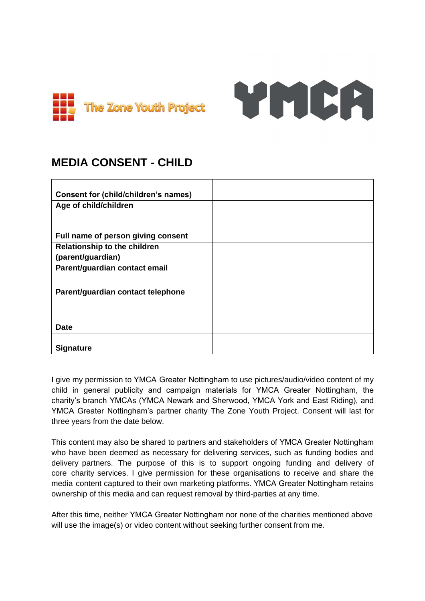

# YMCA

## **MEDIA CONSENT - CHILD**

| <b>Consent for (child/children's names)</b> |  |
|---------------------------------------------|--|
| Age of child/children                       |  |
|                                             |  |
| Full name of person giving consent          |  |
| <b>Relationship to the children</b>         |  |
| (parent/guardian)                           |  |
| Parent/guardian contact email               |  |
|                                             |  |
| Parent/guardian contact telephone           |  |
|                                             |  |
| <b>Date</b>                                 |  |
|                                             |  |
| <b>Signature</b>                            |  |

I give my permission to YMCA Greater Nottingham to use pictures/audio/video content of my child in general publicity and campaign materials for YMCA Greater Nottingham, the charity's branch YMCAs (YMCA Newark and Sherwood, YMCA York and East Riding), and YMCA Greater Nottingham's partner charity The Zone Youth Project. Consent will last for three years from the date below.

This content may also be shared to partners and stakeholders of YMCA Greater Nottingham who have been deemed as necessary for delivering services, such as funding bodies and delivery partners. The purpose of this is to support ongoing funding and delivery of core charity services. I give permission for these organisations to receive and share the media content captured to their own marketing platforms. YMCA Greater Nottingham retains ownership of this media and can request removal by third-parties at any time.

After this time, neither YMCA Greater Nottingham nor none of the charities mentioned above will use the image(s) or video content without seeking further consent from me.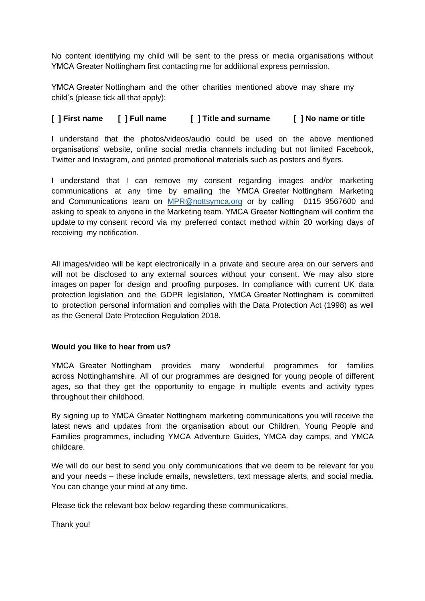No content identifying my child will be sent to the press or media organisations without YMCA Greater Nottingham first contacting me for additional express permission.

YMCA Greater Nottingham and the other charities mentioned above may share my child's (please tick all that apply):

### **[ ] First name [ ] Full name [ ] Title and surname [ ] No name or title**

I understand that the photos/videos/audio could be used on the above mentioned organisations' website, online social media channels including but not limited Facebook, Twitter and Instagram, and printed promotional materials such as posters and flyers.

I understand that I can remove my consent regarding images and/or marketing communications at any time by emailing the YMCA Greater Nottingham Marketing and Communications team on [MPR@nottsymca.org](mailto:MPR@nottsymca.org) or by calling 0115 9567600 and asking to speak to anyone in the Marketing team. YMCA Greater Nottingham will confirm the update to my consent record via my preferred contact method within 20 working days of receiving my notification.

All images/video will be kept electronically in a private and secure area on our servers and will not be disclosed to any external sources without your consent. We may also store images on paper for design and proofing purposes. In compliance with current UK data protection legislation and the GDPR legislation, YMCA Greater Nottingham is committed to protection personal information and complies with the Data Protection Act (1998) as well as the General Date Protection Regulation 2018.

#### **Would you like to hear from us?**

YMCA Greater Nottingham provides many wonderful programmes for families across Nottinghamshire. All of our programmes are designed for young people of different ages, so that they get the opportunity to engage in multiple events and activity types throughout their childhood.

By signing up to YMCA Greater Nottingham marketing communications you will receive the latest news and updates from the organisation about our Children, Young People and Families programmes, including YMCA Adventure Guides, YMCA day camps, and YMCA childcare.

We will do our best to send you only communications that we deem to be relevant for you and your needs – these include emails, newsletters, text message alerts, and social media. You can change your mind at any time.

Please tick the relevant box below regarding these communications.

Thank you!